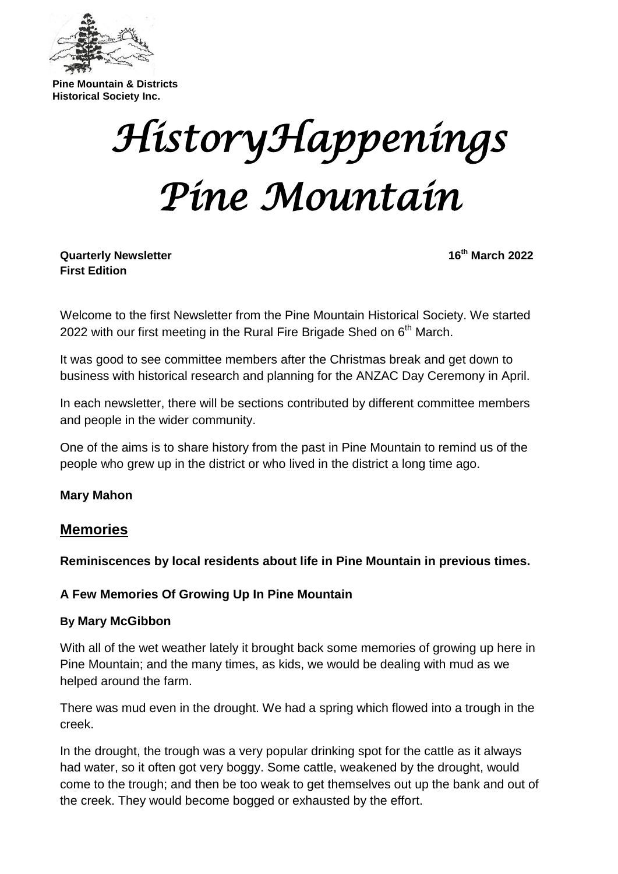

**Pine Mountain & Districts Historical Society Inc.**

# *HistoryHappenings Pine Mountain*

**Quarterly Newsletter 16th March 2022 First Edition**

Welcome to the first Newsletter from the Pine Mountain Historical Society. We started 2022 with our first meeting in the Rural Fire Brigade Shed on  $6<sup>th</sup>$  March.

It was good to see committee members after the Christmas break and get down to business with historical research and planning for the ANZAC Day Ceremony in April.

In each newsletter, there will be sections contributed by different committee members and people in the wider community.

One of the aims is to share history from the past in Pine Mountain to remind us of the people who grew up in the district or who lived in the district a long time ago.

#### **Mary Mahon**

#### **Memories**

**Reminiscences by local residents about life in Pine Mountain in previous times.**

#### **A Few Memories Of Growing Up In Pine Mountain**

#### **By Mary McGibbon**

With all of the wet weather lately it brought back some memories of growing up here in Pine Mountain; and the many times, as kids, we would be dealing with mud as we helped around the farm.

There was mud even in the drought. We had a spring which flowed into a trough in the creek.

In the drought, the trough was a very popular drinking spot for the cattle as it always had water, so it often got very boggy. Some cattle, weakened by the drought, would come to the trough; and then be too weak to get themselves out up the bank and out of the creek. They would become bogged or exhausted by the effort.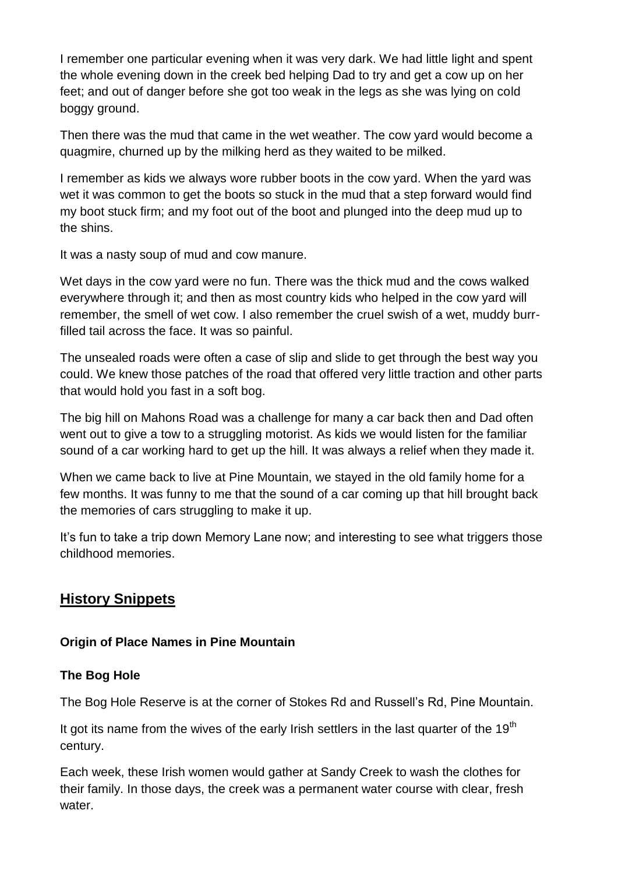I remember one particular evening when it was very dark. We had little light and spent the whole evening down in the creek bed helping Dad to try and get a cow up on her feet; and out of danger before she got too weak in the legs as she was lying on cold boggy ground.

Then there was the mud that came in the wet weather. The cow yard would become a quagmire, churned up by the milking herd as they waited to be milked.

I remember as kids we always wore rubber boots in the cow yard. When the yard was wet it was common to get the boots so stuck in the mud that a step forward would find my boot stuck firm; and my foot out of the boot and plunged into the deep mud up to the shins.

It was a nasty soup of mud and cow manure.

Wet days in the cow yard were no fun. There was the thick mud and the cows walked everywhere through it; and then as most country kids who helped in the cow yard will remember, the smell of wet cow. I also remember the cruel swish of a wet, muddy burrfilled tail across the face. It was so painful.

The unsealed roads were often a case of slip and slide to get through the best way you could. We knew those patches of the road that offered very little traction and other parts that would hold you fast in a soft bog.

The big hill on Mahons Road was a challenge for many a car back then and Dad often went out to give a tow to a struggling motorist. As kids we would listen for the familiar sound of a car working hard to get up the hill. It was always a relief when they made it.

When we came back to live at Pine Mountain, we stayed in the old family home for a few months. It was funny to me that the sound of a car coming up that hill brought back the memories of cars struggling to make it up.

It's fun to take a trip down Memory Lane now; and interesting to see what triggers those childhood memories.

# **History Snippets**

#### **Origin of Place Names in Pine Mountain**

#### **The Bog Hole**

The Bog Hole Reserve is at the corner of Stokes Rd and Russell's Rd, Pine Mountain.

It got its name from the wives of the early Irish settlers in the last quarter of the  $19<sup>th</sup>$ century.

Each week, these Irish women would gather at Sandy Creek to wash the clothes for their family. In those days, the creek was a permanent water course with clear, fresh water.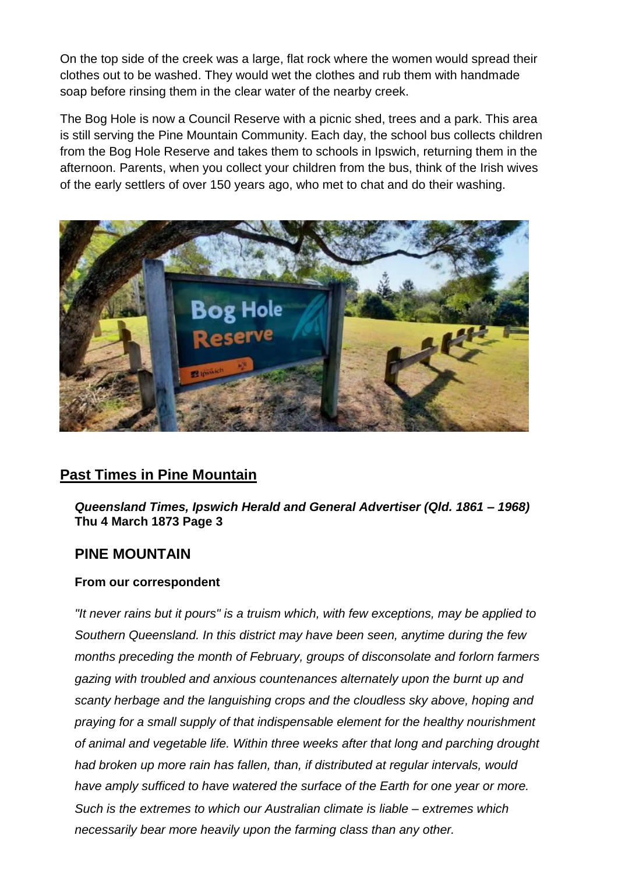On the top side of the creek was a large, flat rock where the women would spread their clothes out to be washed. They would wet the clothes and rub them with handmade soap before rinsing them in the clear water of the nearby creek.

The Bog Hole is now a Council Reserve with a picnic shed, trees and a park. This area is still serving the Pine Mountain Community. Each day, the school bus collects children from the Bog Hole Reserve and takes them to schools in Ipswich, returning them in the afternoon. Parents, when you collect your children from the bus, think of the Irish wives of the early settlers of over 150 years ago, who met to chat and do their washing.



## **Past Times in Pine Mountain**

*Queensland Times, Ipswich Herald and General Advertiser (Qld. 1861 – 1968)* **Thu 4 March 1873 Page 3**

## **PINE MOUNTAIN**

#### **From our correspondent**

*"It never rains but it pours" is a truism which, with few exceptions, may be applied to Southern Queensland. In this district may have been seen, anytime during the few months preceding the month of February, groups of disconsolate and forlorn farmers gazing with troubled and anxious countenances alternately upon the burnt up and scanty herbage and the languishing crops and the cloudless sky above, hoping and praying for a small supply of that indispensable element for the healthy nourishment of animal and vegetable life. Within three weeks after that long and parching drought had broken up more rain has fallen, than, if distributed at regular intervals, would have amply sufficed to have watered the surface of the Earth for one year or more. Such is the extremes to which our Australian climate is liable – extremes which necessarily bear more heavily upon the farming class than any other.*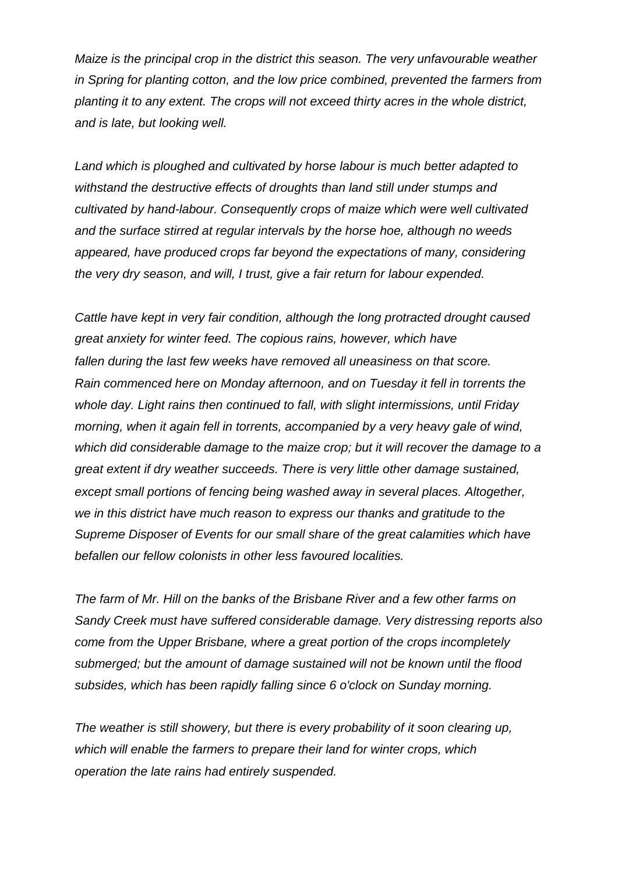*Maize is the principal crop in the district this season. The very unfavourable weather in Spring for planting cotton, and the low price combined, prevented the farmers from planting it to any extent. The crops will not exceed thirty acres in the whole district, and is late, but looking well.*

*Land which is ploughed and cultivated by horse labour is much better adapted to withstand the destructive effects of droughts than land still under stumps and cultivated by hand-labour. Consequently crops of maize which were well cultivated and the surface stirred at regular intervals by the horse hoe, although no weeds appeared, have produced crops far beyond the expectations of many, considering the very dry season, and will, I trust, give a fair return for labour expended.*

*Cattle have kept in very fair condition, although the long protracted drought caused great anxiety for winter feed. The copious rains, however, which have fallen during the last few weeks have removed all uneasiness on that score. Rain commenced here on Monday afternoon, and on Tuesday it fell in torrents the whole day. Light rains then continued to fall, with slight intermissions, until Friday morning, when it again fell in torrents, accompanied by a very heavy gale of wind, which did considerable damage to the maize crop; but it will recover the damage to a great extent if dry weather succeeds. There is very little other damage sustained, except small portions of fencing being washed away in several places. Altogether, we in this district have much reason to express our thanks and gratitude to the Supreme Disposer of Events for our small share of the great calamities which have befallen our fellow colonists in other less favoured localities.* 

*The farm of Mr. Hill on the banks of the Brisbane River and a few other farms on Sandy Creek must have suffered considerable damage. Very distressing reports also come from the Upper Brisbane, where a great portion of the crops incompletely submerged; but the amount of damage sustained will not be known until the flood subsides, which has been rapidly falling since 6 o'clock on Sunday morning.*

*The weather is still showery, but there is every probability of it soon clearing up, which will enable the farmers to prepare their land for winter crops, which operation the late rains had entirely suspended.*